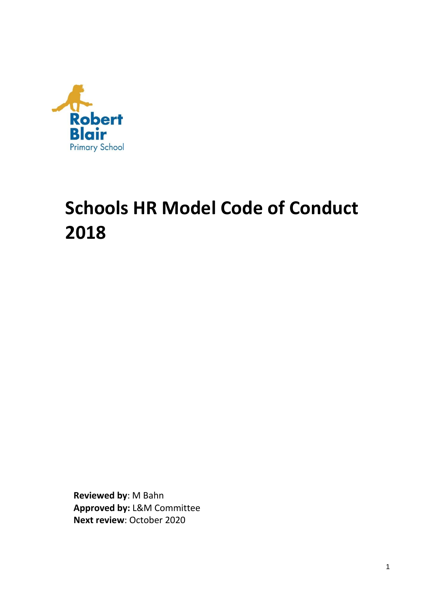

# **Schools HR Model Code of Conduct 2018**

**Reviewed by**: M Bahn **Approved by:** L&M Committee **Next review**: October 2020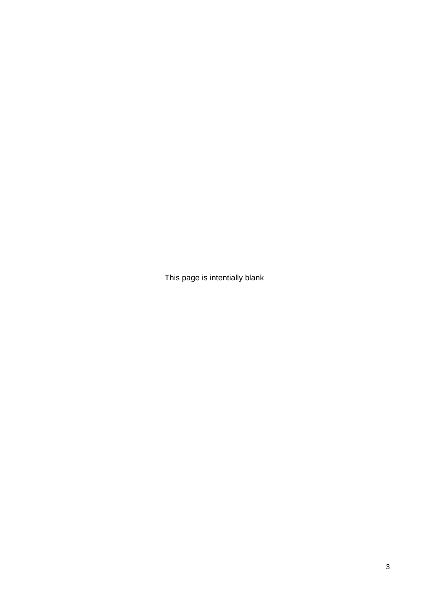This page is intentially blank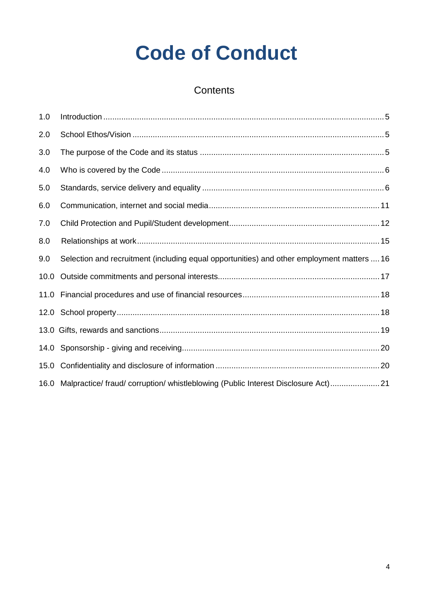# **Code of Conduct**

# **Contents**

| 1.0  |                                                                                            |
|------|--------------------------------------------------------------------------------------------|
| 2.0  |                                                                                            |
| 3.0  |                                                                                            |
| 4.0  |                                                                                            |
| 5.0  |                                                                                            |
| 6.0  |                                                                                            |
| 7.0  |                                                                                            |
| 8.0  |                                                                                            |
| 9.0  | Selection and recruitment (including equal opportunities) and other employment matters  16 |
| 10.0 |                                                                                            |
| 11.0 |                                                                                            |
|      |                                                                                            |
|      |                                                                                            |
|      |                                                                                            |
| 15.0 |                                                                                            |
| 16.0 | Malpractice/ fraud/ corruption/ whistleblowing (Public Interest Disclosure Act)21          |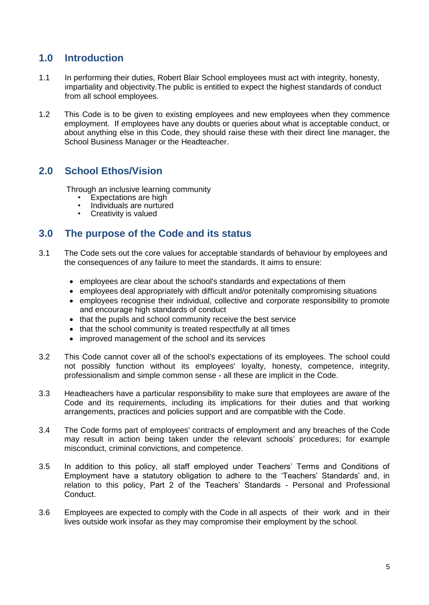# <span id="page-4-0"></span>**1.0 Introduction**

- 1.1 In performing their duties, Robert Blair School employees must act with integrity, honesty, impartiality and objectivity.The public is entitled to expect the highest standards of conduct from all school employees.
- 1.2 This Code is to be given to existing employees and new employees when they commence employment. If employees have any doubts or queries about what is acceptable conduct, or about anything else in this Code, they should raise these with their direct line manager, the School Business Manager or the Headteacher.

# <span id="page-4-1"></span>**2.0 School Ethos/Vision**

Through an inclusive learning community

- Expectations are high
- Individuals are nurtured
- Creativity is valued

# <span id="page-4-2"></span>**3.0 The purpose of the Code and its status**

- 3.1 The Code sets out the core values for acceptable standards of behaviour by employees and the consequences of any failure to meet the standards. It aims to ensure:
	- employees are clear about the school's standards and expectations of them
	- employees deal appropriately with difficult and/or potenitally compromising situations
	- employees recognise their individual, collective and corporate responsibility to promote and encourage high standards of conduct
	- that the pupils and school community receive the best service
	- that the school community is treated respectfully at all times
	- improved management of the school and its services
- 3.2 This Code cannot cover all of the school's expectations of its employees. The school could not possibly function without its employees' loyalty, honesty, competence, integrity, professionalism and simple common sense - all these are implicit in the Code.
- 3.3 Headteachers have a particular responsibility to make sure that employees are aware of the Code and its requirements, including its implications for their duties and that working arrangements, practices and policies support and are compatible with the Code.
- 3.4 The Code forms part of employees' contracts of employment and any breaches of the Code may result in action being taken under the relevant schools' procedures; for example misconduct, criminal convictions, and competence.
- 3.5 In addition to this policy, all staff employed under Teachers' Terms and Conditions of Employment have a statutory obligation to adhere to the 'Teachers' Standards' and, in relation to this policy, Part 2 of the Teachers' Standards - Personal and Professional Conduct.
- 3.6 Employees are expected to comply with the Code in all aspects of their work and in their lives outside work insofar as they may compromise their employment by the school.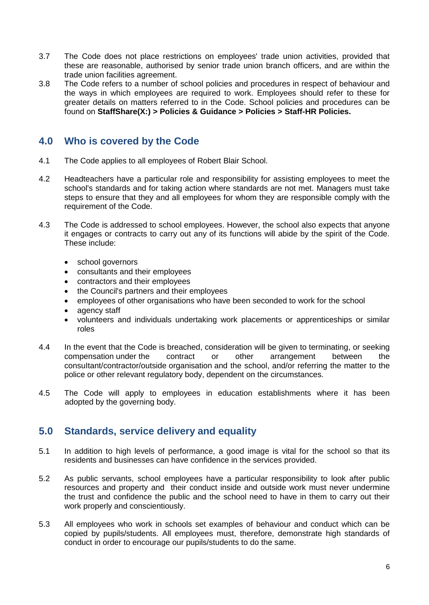- 3.7 The Code does not place restrictions on employees' trade union activities, provided that these are reasonable, authorised by senior trade union branch officers, and are within the trade union facilities agreement.
- 3.8 The Code refers to a number of school policies and procedures in respect of behaviour and the ways in which employees are required to work. Employees should refer to these for greater details on matters referred to in the Code. School policies and procedures can be found on **StaffShare(X:) > Policies & Guidance > Policies > Staff-HR Policies.**

# <span id="page-5-0"></span>**4.0 Who is covered by the Code**

- 4.1 The Code applies to all employees of Robert Blair School.
- 4.2 Headteachers have a particular role and responsibility for assisting employees to meet the school's standards and for taking action where standards are not met. Managers must take steps to ensure that they and all employees for whom they are responsible comply with the requirement of the Code.
- 4.3 The Code is addressed to school employees. However, the school also expects that anyone it engages or contracts to carry out any of its functions will abide by the spirit of the Code. These include:
	- school governors
	- consultants and their employees
	- contractors and their employees
	- the Council's partners and their employees
	- employees of other organisations who have been seconded to work for the school
	- agency staff
	- volunteers and individuals undertaking work placements or apprenticeships or similar roles
- 4.4 In the event that the Code is breached, consideration will be given to terminating, or seeking compensation under the contract or other arrangement between the consultant/contractor/outside organisation and the school, and/or referring the matter to the police or other relevant regulatory body, dependent on the circumstances.
- 4.5 The Code will apply to employees in education establishments where it has been adopted by the governing body.

# <span id="page-5-1"></span>**5.0 Standards, service delivery and equality**

- 5.1 In addition to high levels of performance, a good image is vital for the school so that its residents and businesses can have confidence in the services provided.
- 5.2 As public servants, school employees have a particular responsibility to look after public resources and property and their conduct inside and outside work must never undermine the trust and confidence the public and the school need to have in them to carry out their work properly and conscientiously.
- 5.3 All employees who work in schools set examples of behaviour and conduct which can be copied by pupils/students. All employees must, therefore, demonstrate high standards of conduct in order to encourage our pupils/students to do the same.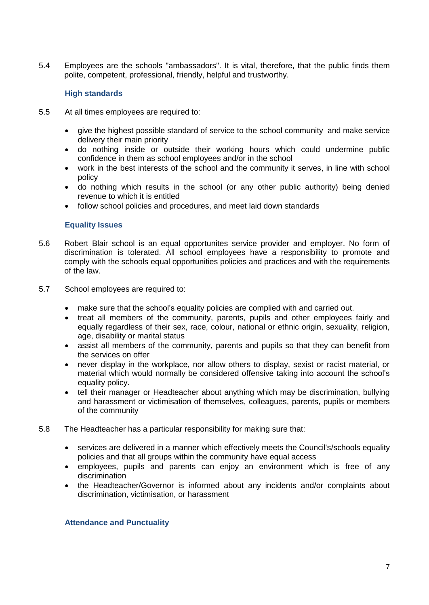5.4 Employees are the schools "ambassadors". It is vital, therefore, that the public finds them polite, competent, professional, friendly, helpful and trustworthy.

## **High standards**

- 5.5 At all times employees are required to:
	- give the highest possible standard of service to the school community and make service delivery their main priority
	- do nothing inside or outside their working hours which could undermine public confidence in them as school employees and/or in the school
	- work in the best interests of the school and the community it serves, in line with school policy
	- do nothing which results in the school (or any other public authority) being denied revenue to which it is entitled
	- follow school policies and procedures, and meet laid down standards

## **Equality Issues**

- 5.6 Robert Blair school is an equal opportunites service provider and employer. No form of discrimination is tolerated. All school employees have a responsibility to promote and comply with the schools equal opportunities policies and practices and with the requirements of the law.
- 5.7 School employees are required to:
	- make sure that the school's equality policies are complied with and carried out.
	- treat all members of the community, parents, pupils and other employees fairly and equally regardless of their sex, race, colour, national or ethnic origin, sexuality, religion, age, disability or marital status
	- assist all members of the community, parents and pupils so that they can benefit from the services on offer
	- never display in the workplace, nor allow others to display, sexist or racist material, or material which would normally be considered offensive taking into account the school's equality policy.
	- tell their manager or Headteacher about anything which may be discrimination, bullying and harassment or victimisation of themselves, colleagues, parents, pupils or members of the community
- 5.8 The Headteacher has a particular responsibility for making sure that:
	- services are delivered in a manner which effectively meets the Council's/schools equality policies and that all groups within the community have equal access
	- employees, pupils and parents can enjoy an environment which is free of any discrimination
	- the Headteacher/Governor is informed about any incidents and/or complaints about discrimination, victimisation, or harassment

### **Attendance and Punctuality**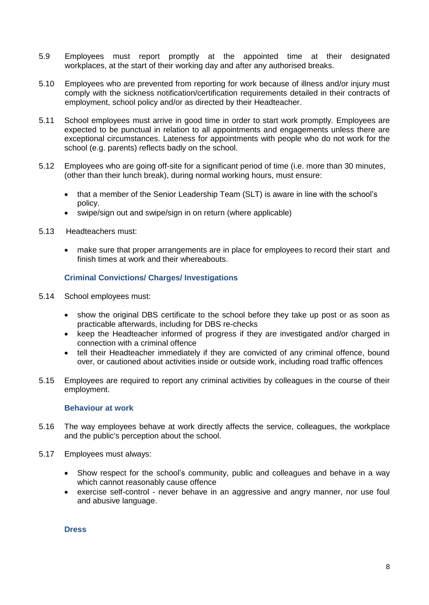- 5.9 Employees must report promptly at the appointed time at their designated workplaces, at the start of their working day and after any authorised breaks.
- 5.10 Employees who are prevented from reporting for work because of illness and/or injury must comply with the sickness notification/certification requirements detailed in their contracts of employment, school policy and/or as directed by their Headteacher.
- 5.11 School employees must arrive in good time in order to start work promptly. Employees are expected to be punctual in relation to all appointments and engagements unless there are exceptional circumstances. Lateness for appointments with people who do not work for the school (e.g. parents) reflects badly on the school.
- 5.12 Employees who are going off-site for a significant period of time (i.e. more than 30 minutes, (other than their lunch break), during normal working hours, must ensure:
	- that a member of the Senior Leadership Team (SLT) is aware in line with the school's policy.
	- swipe/sign out and swipe/sign in on return (where applicable)
- 5.13 Headteachers must:
	- make sure that proper arrangements are in place for employees to record their start and finish times at work and their whereabouts.

## **Criminal Convictions/ Charges/ Investigations**

- 5.14 School employees must:
	- show the original DBS certificate to the school before they take up post or as soon as practicable afterwards, including for DBS re-checks
	- keep the Headteacher informed of progress if they are investigated and/or charged in connection with a criminal offence
	- tell their Headteacher immediately if they are convicted of any criminal offence, bound over, or cautioned about activities inside or outside work, including road traffic offences
- 5.15 Employees are required to report any criminal activities by colleagues in the course of their employment.

## **Behaviour at work**

- 5.16 The way employees behave at work directly affects the service, colleagues, the workplace and the public's perception about the school.
- 5.17 Employees must always:
	- Show respect for the school's community, public and colleagues and behave in a way which cannot reasonably cause offence
	- exercise self-control never behave in an aggressive and angry manner, nor use foul and abusive language.

**Dress**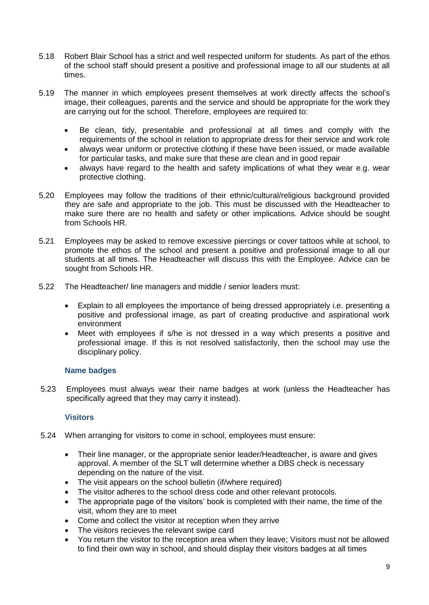- 5.18 Robert Blair School has a strict and well respected uniform for students. As part of the ethos of the school staff should present a positive and professional image to all our students at all times.
- 5.19 The manner in which employees present themselves at work directly affects the school's image, their colleagues, parents and the service and should be appropriate for the work they are carrying out for the school. Therefore, employees are required to:
	- Be clean, tidy, presentable and professional at all times and comply with the requirements of the school in relation to appropriate dress for their service and work role
	- always wear uniform or protective clothing if these have been issued, or made available for particular tasks, and make sure that these are clean and in good repair
	- always have regard to the health and safety implications of what they wear e.g. wear protective clothing.
- 5.20 Employees may follow the traditions of their ethnic/cultural/religious background provided they are safe and appropriate to the job. This must be discussed with the Headteacher to make sure there are no health and safety or other implications. Advice should be sought from Schools HR.
- 5.21 Employees may be asked to remove excessive piercings or cover tattoos while at school, to promote the ethos of the school and present a positive and professional image to all our students at all times. The Headteacher will discuss this with the Employee. Advice can be sought from Schools HR.
- 5.22 The Headteacher/ line managers and middle / senior leaders must:
	- Explain to all employees the importance of being dressed appropriately i.e. presenting a positive and professional image, as part of creating productive and aspirational work environment
	- Meet with employees if s/he is not dressed in a way which presents a positive and professional image. If this is not resolved satisfactorily, then the school may use the disciplinary policy.

## **Name badges**

5.23 Employees must always wear their name badges at work (unless the Headteacher has specifically agreed that they may carry it instead).

## **Visitors**

- 5.24 When arranging for visitors to come in school, employees must ensure:
	- Their line manager, or the appropriate senior leader/Headteacher, is aware and gives approval. A member of the SLT will determine whether a DBS check is necessary depending on the nature of the visit.
	- The visit appears on the school bulletin (if/where required)
	- The visitor adheres to the school dress code and other relevant protocols.
	- The appropriate page of the visitors' book is completed with their name, the time of the visit, whom they are to meet
	- Come and collect the visitor at reception when they arrive
	- The visitors recieves the relevant swipe card
	- You return the visitor to the reception area when they leave; Visitors must not be allowed to find their own way in school, and should display their visitors badges at all times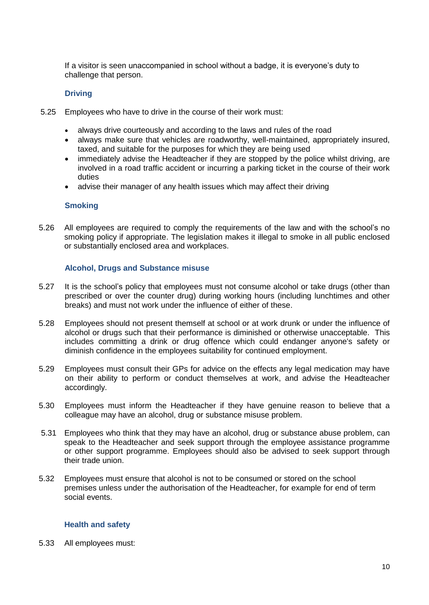If a visitor is seen unaccompanied in school without a badge, it is everyone's duty to challenge that person.

## **Driving**

- 5.25 Employees who have to drive in the course of their work must:
	- always drive courteously and according to the laws and rules of the road
	- always make sure that vehicles are roadworthy, well-maintained, appropriately insured, taxed, and suitable for the purposes for which they are being used
	- immediately advise the Headteacher if they are stopped by the police whilst driving, are involved in a road traffic accident or incurring a parking ticket in the course of their work duties
	- advise their manager of any health issues which may affect their driving

## **Smoking**

5.26 All employees are required to comply the requirements of the law and with the school's no smoking policy if appropriate. The legislation makes it illegal to smoke in all public enclosed or substantially enclosed area and workplaces.

## **Alcohol, Drugs and Substance misuse**

- 5.27 It is the school's policy that employees must not consume alcohol or take drugs (other than prescribed or over the counter drug) during working hours (including lunchtimes and other breaks) and must not work under the influence of either of these.
- 5.28 Employees should not present themself at school or at work drunk or under the influence of alcohol or drugs such that their performance is diminished or otherwise unacceptable. This includes committing a drink or drug offence which could endanger anyone's safety or diminish confidence in the employees suitability for continued employment.
- 5.29 Employees must consult their GPs for advice on the effects any legal medication may have on their ability to perform or conduct themselves at work, and advise the Headteacher accordingly.
- 5.30 Employees must inform the Headteacher if they have genuine reason to believe that a colleague may have an alcohol, drug or substance misuse problem.
- 5.31 Employees who think that they may have an alcohol, drug or substance abuse problem, can speak to the Headteacher and seek support through the employee assistance programme or other support programme. Employees should also be advised to seek support through their trade union.
- 5.32 Employees must ensure that alcohol is not to be consumed or stored on the school premises unless under the authorisation of the Headteacher, for example for end of term social events.

## **Health and safety**

5.33 All employees must: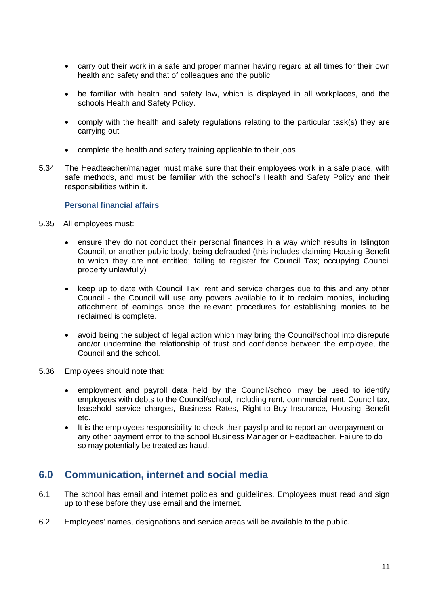- carry out their work in a safe and proper manner having regard at all times for their own health and safety and that of colleagues and the public
- be familiar with health and safety law, which is displayed in all workplaces, and the schools Health and Safety Policy.
- comply with the health and safety regulations relating to the particular task(s) they are carrying out
- complete the health and safety training applicable to their jobs
- 5.34 The Headteacher/manager must make sure that their employees work in a safe place, with safe methods, and must be familiar with the school's Health and Safety Policy and their responsibilities within it.

## **Personal financial affairs**

- 5.35 All employees must:
	- ensure they do not conduct their personal finances in a way which results in Islington Council, or another public body, being defrauded (this includes claiming Housing Benefit to which they are not entitled; failing to register for Council Tax; occupying Council property unlawfully)
	- keep up to date with Council Tax, rent and service charges due to this and any other Council - the Council will use any powers available to it to reclaim monies, including attachment of earnings once the relevant procedures for establishing monies to be reclaimed is complete.
	- avoid being the subject of legal action which may bring the Council/school into disrepute and/or undermine the relationship of trust and confidence between the employee, the Council and the school.
- 5.36 Employees should note that:
	- employment and payroll data held by the Council/school may be used to identify employees with debts to the Council/school, including rent, commercial rent, Council tax, leasehold service charges, Business Rates, Right-to-Buy Insurance, Housing Benefit etc.
	- It is the employees responsibility to check their payslip and to report an overpayment or any other payment error to the school Business Manager or Headteacher. Failure to do so may potentially be treated as fraud.

# <span id="page-10-0"></span>**6.0 Communication, internet and social media**

- 6.1 The school has email and internet policies and guidelines. Employees must read and sign up to these before they use email and the internet.
- 6.2 Employees' names, designations and service areas will be available to the public.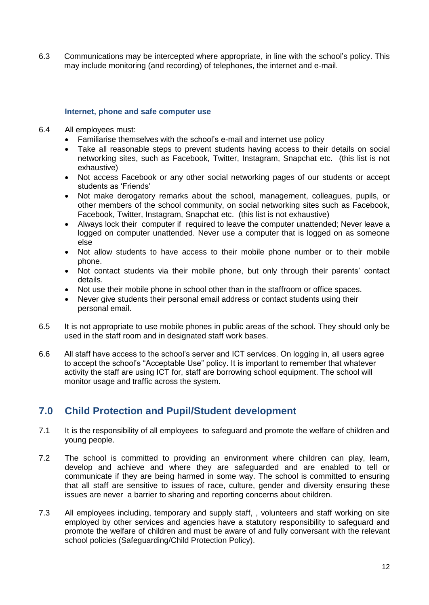6.3 Communications may be intercepted where appropriate, in line with the school's policy. This may include monitoring (and recording) of telephones, the internet and e-mail.

## **Internet, phone and safe computer use**

- 6.4 All employees must:
	- Familiarise themselves with the school's e-mail and internet use policy
	- Take all reasonable steps to prevent students having access to their details on social networking sites, such as Facebook, Twitter, Instagram, Snapchat etc. (this list is not exhaustive)
	- Not access Facebook or any other social networking pages of our students or accept students as 'Friends'
	- Not make derogatory remarks about the school, management, colleagues, pupils, or other members of the school community, on social networking sites such as Facebook, Facebook, Twitter, Instagram, Snapchat etc. (this list is not exhaustive)
	- Always lock their computer if required to leave the computer unattended; Never leave a logged on computer unattended. Never use a computer that is logged on as someone else
	- Not allow students to have access to their mobile phone number or to their mobile phone.
	- Not contact students via their mobile phone, but only through their parents' contact details.
	- Not use their mobile phone in school other than in the staffroom or office spaces.
	- Never give students their personal email address or contact students using their personal email.
- 6.5 It is not appropriate to use mobile phones in public areas of the school. They should only be used in the staff room and in designated staff work bases.
- 6.6 All staff have access to the school's server and ICT services. On logging in, all users agree to accept the school's "Acceptable Use" policy. It is important to remember that whatever activity the staff are using ICT for, staff are borrowing school equipment. The school will monitor usage and traffic across the system.

# <span id="page-11-0"></span>**7.0 Child Protection and Pupil/Student development**

- 7.1 It is the responsibility of all employees to safeguard and promote the welfare of children and young people.
- 7.2 The school is committed to providing an environment where children can play, learn, develop and achieve and where they are safeguarded and are enabled to tell or communicate if they are being harmed in some way. The school is committed to ensuring that all staff are sensitive to issues of race, culture, gender and diversity ensuring these issues are never a barrier to sharing and reporting concerns about children.
- 7.3 All employees including, temporary and supply staff, , volunteers and staff working on site employed by other services and agencies have a statutory responsibility to safeguard and promote the welfare of children and must be aware of and fully conversant with the relevant school policies (Safeguarding/Child Protection Policy).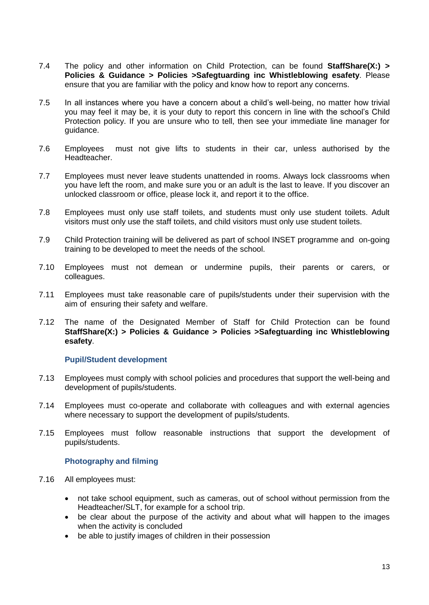- 7.4 The policy and other information on Child Protection, can be found **StaffShare(X:) > Policies & Guidance > Policies >Safegtuarding inc Whistleblowing esafety**. Please ensure that you are familiar with the policy and know how to report any concerns.
- 7.5 In all instances where you have a concern about a child's well-being, no matter how trivial you may feel it may be, it is your duty to report this concern in line with the school's Child Protection policy. If you are unsure who to tell, then see your immediate line manager for guidance.
- 7.6 Employees must not give lifts to students in their car, unless authorised by the Headteacher.
- 7.7 Employees must never leave students unattended in rooms. Always lock classrooms when you have left the room, and make sure you or an adult is the last to leave. If you discover an unlocked classroom or office, please lock it, and report it to the office.
- 7.8 Employees must only use staff toilets, and students must only use student toilets. Adult visitors must only use the staff toilets, and child visitors must only use student toilets.
- 7.9 Child Protection training will be delivered as part of school INSET programme and on-going training to be developed to meet the needs of the school.
- 7.10 Employees must not demean or undermine pupils, their parents or carers, or colleagues.
- 7.11 Employees must take reasonable care of pupils/students under their supervision with the aim of ensuring their safety and welfare.
- 7.12 The name of the Designated Member of Staff for Child Protection can be found **StaffShare(X:) > Policies & Guidance > Policies >Safegtuarding inc Whistleblowing esafety**.

### **Pupil/Student development**

- 7.13 Employees must comply with school policies and procedures that support the well-being and development of pupils/students.
- 7.14 Employees must co-operate and collaborate with colleagues and with external agencies where necessary to support the development of pupils/students.
- 7.15 Employees must follow reasonable instructions that support the development of pupils/students.

## **Photography and filming**

- 7.16 All employees must:
	- not take school equipment, such as cameras, out of school without permission from the Headteacher/SLT, for example for a school trip.
	- be clear about the purpose of the activity and about what will happen to the images when the activity is concluded
	- be able to justify images of children in their possession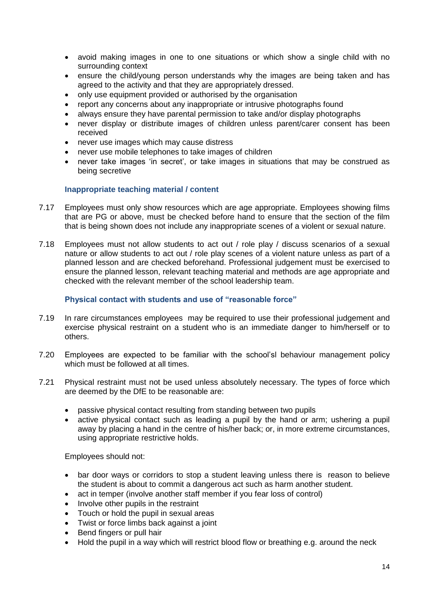- avoid making images in one to one situations or which show a single child with no surrounding context
- ensure the child/young person understands why the images are being taken and has agreed to the activity and that they are appropriately dressed.
- only use equipment provided or authorised by the organisation
- report any concerns about any inappropriate or intrusive photographs found
- always ensure they have parental permission to take and/or display photographs
- never display or distribute images of children unless parent/carer consent has been received
- never use images which may cause distress
- never use mobile telephones to take images of children
- never take images 'in secret', or take images in situations that may be construed as being secretive

## **Inappropriate teaching material / content**

- 7.17 Employees must only show resources which are age appropriate. Employees showing films that are PG or above, must be checked before hand to ensure that the section of the film that is being shown does not include any inappropriate scenes of a violent or sexual nature.
- 7.18 Employees must not allow students to act out / role play / discuss scenarios of a sexual nature or allow students to act out / role play scenes of a violent nature unless as part of a planned lesson and are checked beforehand. Professional judgement must be exercised to ensure the planned lesson, relevant teaching material and methods are age appropriate and checked with the relevant member of the school leadership team.

## **Physical contact with students and use of "reasonable force"**

- 7.19 In rare circumstances employees may be required to use their professional judgement and exercise physical restraint on a student who is an immediate danger to him/herself or to others.
- 7.20 Employees are expected to be familiar with the school'sl behaviour management policy which must be followed at all times.
- 7.21 Physical restraint must not be used unless absolutely necessary. The types of force which are deemed by the DfE to be reasonable are:
	- passive physical contact resulting from standing between two pupils
	- active physical contact such as leading a pupil by the hand or arm; ushering a pupil away by placing a hand in the centre of his/her back; or, in more extreme circumstances, using appropriate restrictive holds.

Employees should not:

- bar door ways or corridors to stop a student leaving unless there is reason to believe the student is about to commit a dangerous act such as harm another student.
- act in temper (involve another staff member if you fear loss of control)
- Involve other pupils in the restraint
- Touch or hold the pupil in sexual areas
- Twist or force limbs back against a joint
- Bend fingers or pull hair
- Hold the pupil in a way which will restrict blood flow or breathing e.g. around the neck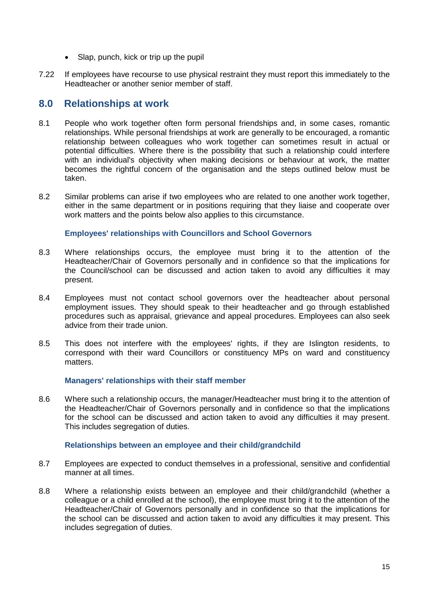- Slap, punch, kick or trip up the pupil
- 7.22 If employees have recourse to use physical restraint they must report this immediately to the Headteacher or another senior member of staff.

## <span id="page-14-0"></span>**8.0 Relationships at work**

- 8.1 People who work together often form personal friendships and, in some cases, romantic relationships. While personal friendships at work are generally to be encouraged, a romantic relationship between colleagues who work together can sometimes result in actual or potential difficulties. Where there is the possibility that such a relationship could interfere with an individual's objectivity when making decisions or behaviour at work, the matter becomes the rightful concern of the organisation and the steps outlined below must be taken.
- 8.2 Similar problems can arise if two employees who are related to one another work together, either in the same department or in positions requiring that they liaise and cooperate over work matters and the points below also applies to this circumstance.

## **Employees' relationships with Councillors and School Governors**

- 8.3 Where relationships occurs, the employee must bring it to the attention of the Headteacher/Chair of Governors personally and in confidence so that the implications for the Council/school can be discussed and action taken to avoid any difficulties it may present.
- 8.4 Employees must not contact school governors over the headteacher about personal employment issues. They should speak to their headteacher and go through established procedures such as appraisal, grievance and appeal procedures. Employees can also seek advice from their trade union.
- 8.5 This does not interfere with the employees' rights, if they are Islington residents, to correspond with their ward Councillors or constituency MPs on ward and constituency matters.

## **Managers' relationships with their staff member**

8.6 Where such a relationship occurs, the manager/Headteacher must bring it to the attention of the Headteacher/Chair of Governors personally and in confidence so that the implications for the school can be discussed and action taken to avoid any difficulties it may present. This includes segregation of duties.

## **Relationships between an employee and their child/grandchild**

- 8.7 Employees are expected to conduct themselves in a professional, sensitive and confidential manner at all times.
- 8.8 Where a relationship exists between an employee and their child/grandchild (whether a colleague or a child enrolled at the school), the employee must bring it to the attention of the Headteacher/Chair of Governors personally and in confidence so that the implications for the school can be discussed and action taken to avoid any difficulties it may present. This includes segregation of duties.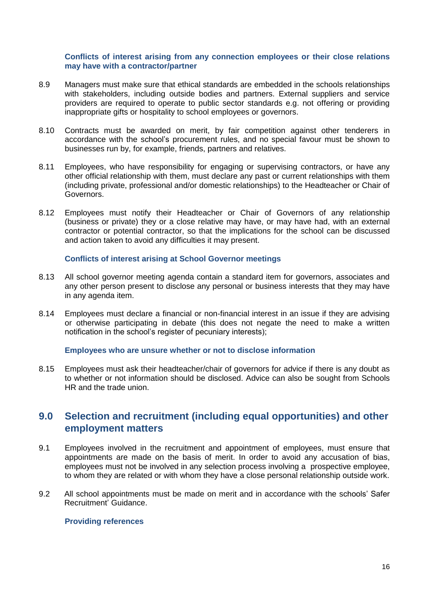## **Conflicts of interest arising from any connection employees or their close relations may have with a contractor/partner**

- 8.9 Managers must make sure that ethical standards are embedded in the schools relationships with stakeholders, including outside bodies and partners. External suppliers and service providers are required to operate to public sector standards e.g. not offering or providing inappropriate gifts or hospitality to school employees or governors.
- 8.10 Contracts must be awarded on merit, by fair competition against other tenderers in accordance with the school's procurement rules, and no special favour must be shown to businesses run by, for example, friends, partners and relatives.
- 8.11 Employees, who have responsibility for engaging or supervising contractors, or have any other official relationship with them, must declare any past or current relationships with them (including private, professional and/or domestic relationships) to the Headteacher or Chair of Governors.
- 8.12 Employees must notify their Headteacher or Chair of Governors of any relationship (business or private) they or a close relative may have, or may have had, with an external contractor or potential contractor, so that the implications for the school can be discussed and action taken to avoid any difficulties it may present.

## **Conflicts of interest arising at School Governor meetings**

- 8.13 All school governor meeting agenda contain a standard item for governors, associates and any other person present to disclose any personal or business interests that they may have in any agenda item.
- 8.14 Employees must declare a financial or non-financial interest in an issue if they are advising or otherwise participating in debate (this does not negate the need to make a written notification in the school's register of pecuniary interests);

### **Employees who are unsure whether or not to disclose information**

8.15 Employees must ask their headteacher/chair of governors for advice if there is any doubt as to whether or not information should be disclosed. Advice can also be sought from Schools HR and the trade union.

# <span id="page-15-0"></span>**9.0 Selection and recruitment (including equal opportunities) and other employment matters**

- 9.1 Employees involved in the recruitment and appointment of employees, must ensure that appointments are made on the basis of merit. In order to avoid any accusation of bias, employees must not be involved in any selection process involving a prospective employee, to whom they are related or with whom they have a close personal relationship outside work.
- 9.2 All school appointments must be made on merit and in accordance with the schools' Safer Recruitment' Guidance.

### **Providing references**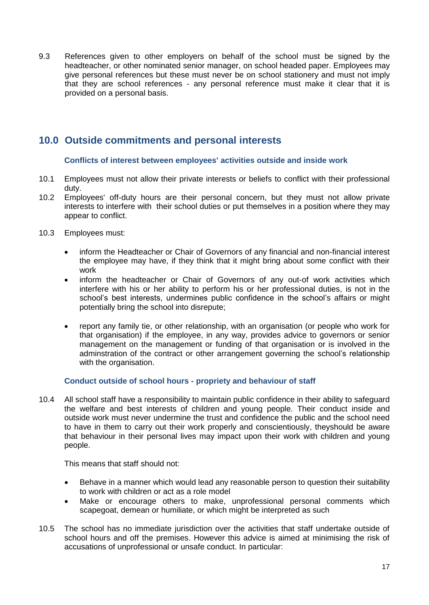9.3 References given to other employers on behalf of the school must be signed by the headteacher, or other nominated senior manager, on school headed paper. Employees may give personal references but these must never be on school stationery and must not imply that they are school references - any personal reference must make it clear that it is provided on a personal basis.

# <span id="page-16-0"></span>**10.0 Outside commitments and personal interests**

## **Conflicts of interest between employees' activities outside and inside work**

- 10.1 Employees must not allow their private interests or beliefs to conflict with their professional duty.
- 10.2 Employees' off-duty hours are their personal concern, but they must not allow private interests to interfere with their school duties or put themselves in a position where they may appear to conflict.
- 10.3 Employees must:
	- inform the Headteacher or Chair of Governors of any financial and non-financial interest the employee may have, if they think that it might bring about some conflict with their work
	- inform the headteacher or Chair of Governors of any out-of work activities which interfere with his or her ability to perform his or her professional duties, is not in the school's best interests, undermines public confidence in the school's affairs or might potentially bring the school into disrepute;
	- report any family tie, or other relationship, with an organisation (or people who work for that organisation) if the employee, in any way, provides advice to governors or senior management on the management or funding of that organisation or is involved in the adminstration of the contract or other arrangement governing the school's relationship with the organisation.

## **Conduct outside of school hours - propriety and behaviour of staff**

10.4 All school staff have a responsibility to maintain public confidence in their ability to safeguard the welfare and best interests of children and young people. Their conduct inside and outside work must never undermine the trust and confidence the public and the school need to have in them to carry out their work properly and conscientiously, theyshould be aware that behaviour in their personal lives may impact upon their work with children and young people.

This means that staff should not:

- Behave in a manner which would lead any reasonable person to question their suitability to work with children or act as a role model
- Make or encourage others to make, unprofessional personal comments which scapegoat, demean or humiliate, or which might be interpreted as such
- 10.5 The school has no immediate jurisdiction over the activities that staff undertake outside of school hours and off the premises. However this advice is aimed at minimising the risk of accusations of unprofessional or unsafe conduct. In particular: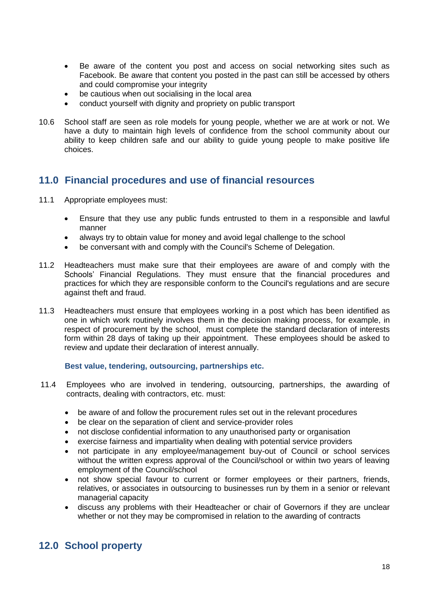- Be aware of the content you post and access on social networking sites such as Facebook. Be aware that content you posted in the past can still be accessed by others and could compromise your integrity
- be cautious when out socialising in the local area
- conduct yourself with dignity and propriety on public transport
- 10.6 School staff are seen as role models for young people, whether we are at work or not. We have a duty to maintain high levels of confidence from the school community about our ability to keep children safe and our ability to guide young people to make positive life choices.

# <span id="page-17-0"></span>**11.0 Financial procedures and use of financial resources**

- 11.1 Appropriate employees must:
	- Ensure that they use any public funds entrusted to them in a responsible and lawful manner
	- always try to obtain value for money and avoid legal challenge to the school
	- be conversant with and comply with the Council's Scheme of Delegation.
- 11.2 Headteachers must make sure that their employees are aware of and comply with the Schools' Financial Regulations. They must ensure that the financial procedures and practices for which they are responsible conform to the Council's regulations and are secure against theft and fraud.
- 11.3 Headteachers must ensure that employees working in a post which has been identified as one in which work routinely involves them in the decision making process, for example, in respect of procurement by the school, must complete the standard declaration of interests form within 28 days of taking up their appointment. These employees should be asked to review and update their declaration of interest annually.

### **Best value, tendering, outsourcing, partnerships etc.**

- 11.4 Employees who are involved in tendering, outsourcing, partnerships, the awarding of contracts, dealing with contractors, etc. must:
	- be aware of and follow the procurement rules set out in the relevant procedures
	- be clear on the separation of client and service-provider roles
	- not disclose confidential information to any unauthorised party or organisation
	- exercise fairness and impartiality when dealing with potential service providers
	- not participate in any employee/management buy-out of Council or school services without the written express approval of the Council/school or within two years of leaving employment of the Council/school
	- not show special favour to current or former employees or their partners, friends, relatives, or associates in outsourcing to businesses run by them in a senior or relevant managerial capacity
	- discuss any problems with their Headteacher or chair of Governors if they are unclear whether or not they may be compromised in relation to the awarding of contracts

# <span id="page-17-1"></span>**12.0 School property**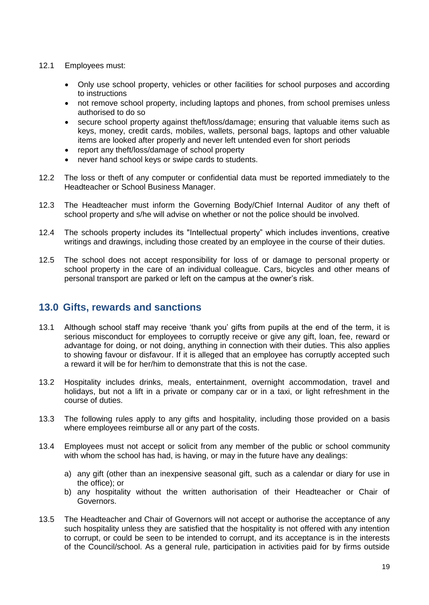## 12.1 Employees must:

- Only use school property, vehicles or other facilities for school purposes and according to instructions
- not remove school property, including laptops and phones, from school premises unless authorised to do so
- secure school property against theft/loss/damage; ensuring that valuable items such as keys, money, credit cards, mobiles, wallets, personal bags, laptops and other valuable items are looked after properly and never left untended even for short periods
- report any theft/loss/damage of school property
- never hand school keys or swipe cards to students.
- 12.2 The loss or theft of any computer or confidential data must be reported immediately to the Headteacher or School Business Manager.
- 12.3 The Headteacher must inform the Governing Body/Chief Internal Auditor of any theft of school property and s/he will advise on whether or not the police should be involved.
- 12.4 The schools property includes its "Intellectual property" which includes inventions, creative writings and drawings, including those created by an employee in the course of their duties.
- 12.5 The school does not accept responsibility for loss of or damage to personal property or school property in the care of an individual colleague. Cars, bicycles and other means of personal transport are parked or left on the campus at the owner's risk.

## <span id="page-18-0"></span>**13.0 Gifts, rewards and sanctions**

- 13.1 Although school staff may receive 'thank you' gifts from pupils at the end of the term, it is serious misconduct for employees to corruptly receive or give any gift, loan, fee, reward or advantage for doing, or not doing, anything in connection with their duties. This also applies to showing favour or disfavour. If it is alleged that an employee has corruptly accepted such a reward it will be for her/him to demonstrate that this is not the case.
- 13.2 Hospitality includes drinks, meals, entertainment, overnight accommodation, travel and holidays, but not a lift in a private or company car or in a taxi, or light refreshment in the course of duties.
- 13.3 The following rules apply to any gifts and hospitality, including those provided on a basis where employees reimburse all or any part of the costs.
- 13.4 Employees must not accept or solicit from any member of the public or school community with whom the school has had, is having, or may in the future have any dealings:
	- a) any gift (other than an inexpensive seasonal gift, such as a calendar or diary for use in the office); or
	- b) any hospitality without the written authorisation of their Headteacher or Chair of Governors.
- 13.5 The Headteacher and Chair of Governors will not accept or authorise the acceptance of any such hospitality unless they are satisfied that the hospitality is not offered with any intention to corrupt, or could be seen to be intended to corrupt, and its acceptance is in the interests of the Council/school. As a general rule, participation in activities paid for by firms outside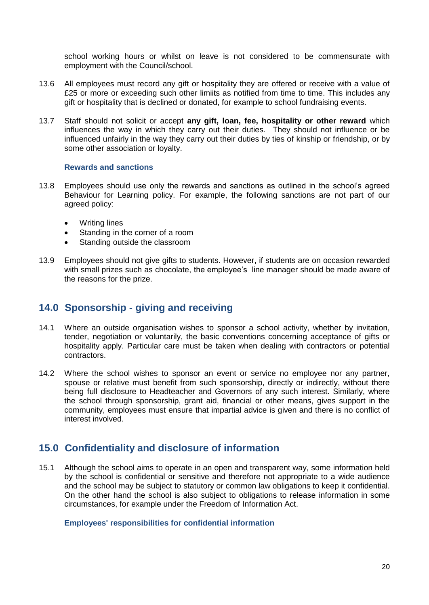school working hours or whilst on leave is not considered to be commensurate with employment with the Council/school.

- 13.6 All employees must record any gift or hospitality they are offered or receive with a value of £25 or more or exceeding such other limiits as notified from time to time. This includes any gift or hospitality that is declined or donated, for example to school fundraising events.
- 13.7 Staff should not solicit or accept **any gift, loan, fee, hospitality or other reward** which influences the way in which they carry out their duties. They should not influence or be influenced unfairly in the way they carry out their duties by ties of kinship or friendship, or by some other association or loyalty.

### **Rewards and sanctions**

- 13.8 Employees should use only the rewards and sanctions as outlined in the school's agreed Behaviour for Learning policy. For example, the following sanctions are not part of our agreed policy:
	- Writing lines
	- Standing in the corner of a room
	- Standing outside the classroom
- 13.9 Employees should not give gifts to students. However, if students are on occasion rewarded with small prizes such as chocolate, the employee's line manager should be made aware of the reasons for the prize.

## <span id="page-19-0"></span>**14.0 Sponsorship - giving and receiving**

- 14.1 Where an outside organisation wishes to sponsor a school activity, whether by invitation, tender, negotiation or voluntarily, the basic conventions concerning acceptance of gifts or hospitality apply. Particular care must be taken when dealing with contractors or potential contractors.
- 14.2 Where the school wishes to sponsor an event or service no employee nor any partner, spouse or relative must benefit from such sponsorship, directly or indirectly, without there being full disclosure to Headteacher and Governors of any such interest. Similarly, where the school through sponsorship, grant aid, financial or other means, gives support in the community, employees must ensure that impartial advice is given and there is no conflict of interest involved.

# <span id="page-19-1"></span>**15.0 Confidentiality and disclosure of information**

15.1 Although the school aims to operate in an open and transparent way, some information held by the school is confidential or sensitive and therefore not appropriate to a wide audience and the school may be subject to statutory or common law obligations to keep it confidential. On the other hand the school is also subject to obligations to release information in some circumstances, for example under the Freedom of Information Act.

## **Employees' responsibilities for confidential information**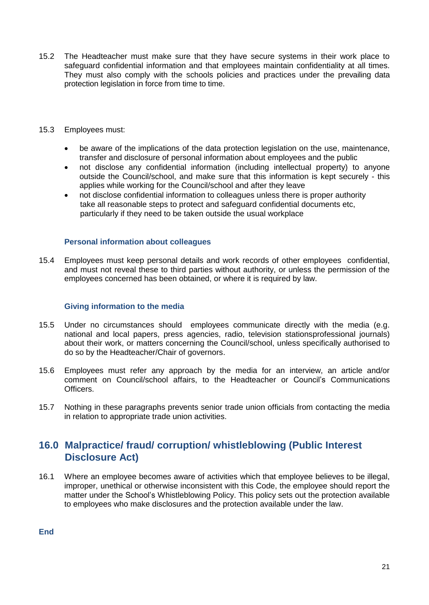- 15.2 The Headteacher must make sure that they have secure systems in their work place to safeguard confidential information and that employees maintain confidentiality at all times. They must also comply with the schools policies and practices under the prevailing data protection legislation in force from time to time.
- 15.3 Employees must:
	- be aware of the implications of the data protection legislation on the use, maintenance, transfer and disclosure of personal information about employees and the public
	- not disclose any confidential information (including intellectual property) to anyone outside the Council/school, and make sure that this information is kept securely - this applies while working for the Council/school and after they leave
	- not disclose confidential information to colleagues unless there is proper authority take all reasonable steps to protect and safeguard confidential documents etc, particularly if they need to be taken outside the usual workplace

## **Personal information about colleagues**

15.4 Employees must keep personal details and work records of other employees confidential, and must not reveal these to third parties without authority, or unless the permission of the employees concerned has been obtained, or where it is required by law.

## **Giving information to the media**

- 15.5 Under no circumstances should employees communicate directly with the media (e.g. national and local papers, press agencies, radio, television stationsprofessional journals) about their work, or matters concerning the Council/school, unless specifically authorised to do so by the Headteacher/Chair of governors.
- 15.6 Employees must refer any approach by the media for an interview, an article and/or comment on Council/school affairs, to the Headteacher or Council's Communications Officers.
- 15.7 Nothing in these paragraphs prevents senior trade union officials from contacting the media in relation to appropriate trade union activities.

# <span id="page-20-0"></span>**16.0 Malpractice/ fraud/ corruption/ whistleblowing (Public Interest Disclosure Act)**

16.1 Where an employee becomes aware of activities which that employee believes to be illegal, improper, unethical or otherwise inconsistent with this Code, the employee should report the matter under the School's Whistleblowing Policy. This policy sets out the protection available to employees who make disclosures and the protection available under the law.

**End**